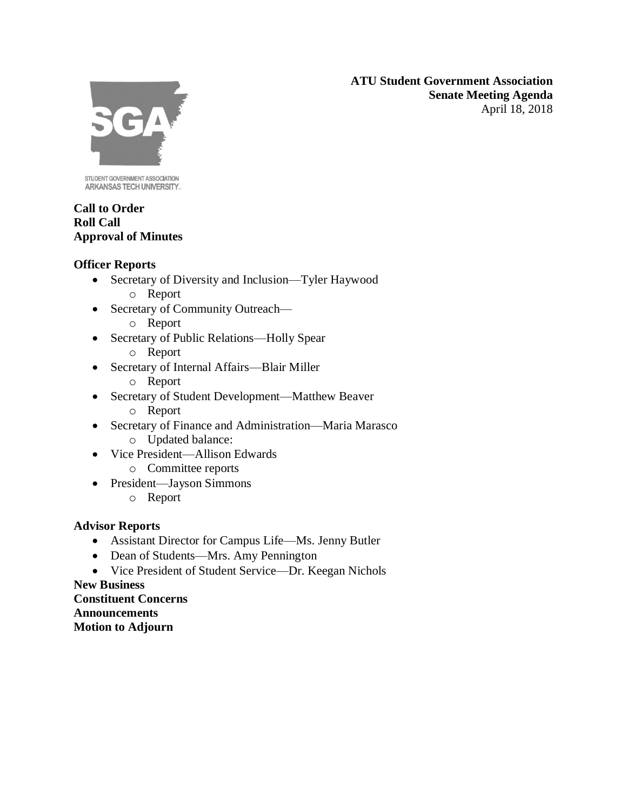**ATU Student Government Association Senate Meeting Agenda** April 18, 2018



STUDENT GOVERNMENT ASSOCIATION ARKANSAS TECH UNIVERSITY.

## **Call to Order Roll Call Approval of Minutes**

## **Officer Reports**

- Secretary of Diversity and Inclusion—Tyler Haywood o Report
- Secretary of Community Outreach
	- o Report
- Secretary of Public Relations—Holly Spear o Report
- Secretary of Internal Affairs—Blair Miller
	- o Report
- Secretary of Student Development—Matthew Beaver
	- o Report
- Secretary of Finance and Administration—Maria Marasco o Updated balance:
- Vice President—Allison Edwards
	- o Committee reports
- President—Jayson Simmons
	- o Report

# **Advisor Reports**

- Assistant Director for Campus Life—Ms. Jenny Butler
- Dean of Students—Mrs. Amy Pennington
- Vice President of Student Service—Dr. Keegan Nichols

**New Business Constituent Concerns Announcements Motion to Adjourn**